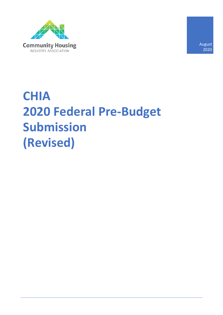

August 2020

# **CHIA 2020 Federal Pre-Budget Submission (Revised)**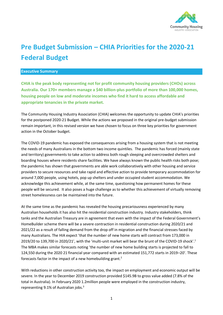

# **Pre Budget Submission – CHIA Priorities for the 2020-21 Federal Budget**

#### **Executive Summary**

**CHIA is the peak body representing not for profit community housing providers (CHOs) across Australia. Our 170+ members manage a \$40 billion-plus portfolio of more than 100,000 homes, housing people on low and moderate incomes who find it hard to access affordable and appropriate tenancies in the private market.** 

The Community Housing Industry Association (CHIA) welcomes the opportunity to update CHIA's priorities for the postponed 2020-21 Budget. While the actions we proposed in the original pre-budget submission remain important, in this revised version we have chosen to focus on three key priorities for government action in the October budget.

The COVID-19 pandemic has exposed the consequences arising from a housing system that is not meeting the needs of many Australians in the bottom two income quintiles. The pandemic has forced (mainly state and territory) governments to take action to address both rough sleeping and overcrowded shelters and boarding houses where residents share facilities. We have always known the public health risks both pose; the pandemic has shown that governments are able work collaboratively with other housing and service providers to secure resources and take rapid and effective action to provide temporary accommodation for around 7,000 people, using hotels, pop up shelters and under occupied student accommodation. We acknowledge this achievement while, at the same time, questioning how permanent homes for these people will be secured. It also poses a huge challenge as to whether this achievement of virtually removing street homelessness can be maintained into the future.

At the same time as the pandemic has revealed the housing precariousness experienced by many Australian households it has also hit the residential construction industry. Industry stakeholders, think tanks and the Australian Treasury are in agreement that even with the impact of the Federal Government's HomeBuilder scheme there will be a severe contraction in residential construction during 2020/21 and 2021/22 as a result of falling demand from the drop off in migration and the financial stresses faced by many Australians. The HIA expect 'that the number of new home starts will contract from 173,000 in 2019/20 to 139,700 in 2020/21', with the 'multi-unit market will bear the brunt of the COVID-19 shock'. 1 The MBA makes similar forecasts noting 'the number of new home building starts is projected to fall to 124,550 during the 2020 21 financial year compared with an estimated 151,772 starts in 2019–20'. These forecasts factor in the impact of a new homebuilding grant.<sup>2</sup>

With reductions in other construction activity too, the impact on employment and economic output will be severe. In the year to December 2019 construction provided \$145.9B to gross value added (7.8% of the total in Australia). In February 2020 1.2million people were employed in the construction industry, representing 9.1% of Australian jobs.<sup>3</sup>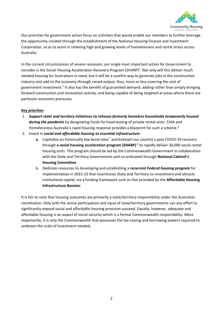

Our priorities for government action focus on activities that would enable our members to further leverage the opportunity created through the establishment of the National Housing Finance and Investment Corporation, so as to assist in relieving high and growing levels of homelessness and rental stress across Australia.

In the current circumstances of severe recession, our single most important action for Government to consider is the Social Housing Acceleration Recovery Program (SHARP)<sup>4</sup>. Not only will this deliver much needed housing for Australians in need, but it will be a surefire way to generate jobs in the construction industry and add to the economy through raised output, thus, more or less covering the cost of government investment.<sup>5</sup> It also has the benefit of guaranteed demand, adding rather than simply bringing forward construction and renovation activity, and being capable of being targeted at areas where there are particular economic pressures.

# *Key priorities*

- 1. *Support state and territory initiatives to rehouse formerly homeless households temporarily housed during the pandemic* by designating funds for head leasing of private rental units. CHIA and Homelessness Australia's rapid housing response provides a blueprint for such a scheme.<sup>6</sup>
- 2. Invest in *social and affordable housing as essential infrastructure*:
	- a. Capitalise on historically low bond rates<sup>7</sup> and kickstart our country's post COVID-19 recovery through a social housing acceleration program (SHARP)<sup>8</sup> to rapidly deliver 30,000 social rental housing units. This program should be led by the Commonwealth Government in collaboration with the State and Territory Governments and co-ordinated through **National Cabinet's Housing Committee**
	- b. Dedicate resources to developing and establishing a *recurrent Federal housing program* for implementation in 2022-23 that incentivises State and Territory co-investment and attracts institutional capital, via a funding framework such as that provided by the **Affordable Housing Infrastructure Booster**.

It is fair to note that housing outcomes are primarily a state/territory responsibility under the Australian constitution. Only with the active participation and input of state/territory governments can any effort to significantly expand social and affordable housing provision succeed. Equally, however, adequate and affordable housing is an aspect of social security which is a formal Commonwealth responsibility. More importantly, it is only the Commonwealth that possesses the tax-raising and borrowing powers required to underpin the scale of investment needed.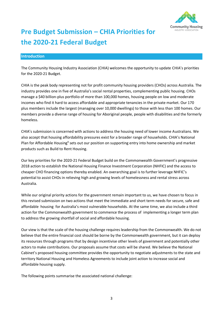

# **Pre Budget Submission – CHIA Priorities for the 2020-21 Federal Budget**

### **Introduction**

The Community Housing Industry Association (CHIA) welcomes the opportunity to update CHIA's priorities for the 2020-21 Budget.

CHIA is the peak body representing not for profit community housing providers (CHOs) across Australia. The industry provides one in five of Australia's social rental properties, complementing public housing. CHOs manage a \$40 billion-plus portfolio of more than 100,000 homes, housing people on low and moderate incomes who find it hard to access affordable and appropriate tenancies in the private market. Our 170 plus members include the largest (managing over 10,000 dwellings) to those with less than 100 homes. Our members provide a diverse range of housing for Aboriginal people, people with disabilities and the formerly homeless.

CHIA's submission is concerned with actions to address the housing need of lower income Australians. We also accept that housing affordability pressures exist for a broader range of households. CHIA's National Plan for Affordable Housing<sup>9</sup> sets out our position on supporting entry into home ownership and market products such as Build to Rent Housing.

Our key priorities for the 2020-21 Federal Budget build on the Commonwealth Government's progressive 2018 action to establish the National Housing Finance Investment Corporation (NHFIC) and the access to cheaper CHO financing options thereby enabled. An overarching goal is to further leverage NHFIC's potential to assist CHOs in relieving high and growing levels of homelessness and rental stress across Australia.

While our original priority actions for the government remain important to us, we have chosen to focus in this revised submission on two actions that meet the immediate and short term needs for secure, safe and affordable housing for Australia's most vulnerable households. At the same time, we also include a third action for the Commonwealth government to commence the process of implementing a longer term plan to address the growing shortfall of social and affordable housing.

Our view is that the scale of the housing challenge requires leadership from the Commonwealth. We do not believe that the entire financial cost should be borne by the Commonwealth government, but it can deploy its resources through programs that by design incentivise other levels of government and potentially other actors to make contributions. Our proposals assume that costs will be shared. We believe the National Cabinet's proposed housing committee provides the opportunity to negotiate adjustments to the state and territory National Housing and Homeless Agreements to include joint action to increase social and affordable housing supply.

The following points summarise the associated national challenge: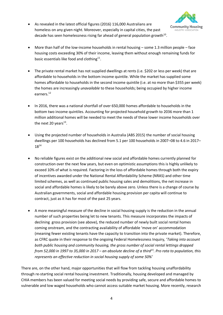• As revealed in the latest official figures (2016) 116,000 Australians are homeless on any given night. Moreover, especially in capital cities, the past decade has seen homelessness rising far ahead of general population growth<sup>10</sup>.



- More than half of the low-income households in rental housing some 1.3 million people face housing costs exceeding 30% of their income, leaving them without enough remaining funds for basic essentials like food and clothing $^{11}$ .
- The private rental market has not supplied dwellings at rents (i.e. \$202 or less per week) that are affordable to households in the bottom income quintile. While the market has supplied some homes affordable to households in the second income quintile (i.e. at no more than \$355 per week) the homes are increasingly *unavailable* to these households; being occupied by higher income earners.<sup>12</sup>
- In 2016, there was a national shortfall of over 650,000 homes affordable to households in the bottom two income quintiles. Accounting for projected household growth to 2036 more than 1 million additional homes will be needed to meet the needs of these lower income households over the next 20 years<sup>13</sup>.
- Using the projected number of households in Australia (ABS 2015) the number of social housing dwellings per 100 households has declined from 5.1 per 100 households in 2007–08 to 4.6 in 2017– 18<sup>14</sup>
- No reliable figures exist on the additional new social and affordable homes currently planned for construction over the next few years, but even on optimistic assumptions this is highly unlikely to exceed 10% of what is required. Factoring in the loss of affordable homes through both the expiry of incentives awarded under the National Rental Affordability Scheme (NRAS) and other time limited schemes, as well as continued public housing sales and demolitions, the net increase in social and affordable homes is likely to be barely above zero. Unless there is a change of course by Australian governments, social and affordable housing provision per capita will continue to contract, just as it has for most of the past 25 years.
- A more meaningful measure of the decline in social housing supply is the reduction in the annual number of such properties being let to new tenants. This measure incorporates the impacts of declining gross provision (see above), the reduced number of newly built social rental homes coming onstream, and the contracting availability of affordable 'move on' accommodation (meaning fewer existing tenants have the capacity to transition into the private market). Therefore, as CFRC quote in their response to the ongoing Federal Homelessness Inquiry, '*Taking into account both public housing and community housing, the gross number of social rental lettings dropped from 52,000 in 1997 to 35,000 in 2017 – an absolute decline of a third<sup>15</sup>. Pro rata to population, this represents an effective reduction in social housing supply of some 50%'*

There are, on the other hand, major opportunities that will flow from tackling housing unaffordability through re-starting social rental housing investment. Traditionally, housing developed and managed by CHIA members has been valued for meeting social needs by providing safe, secure and affordable homes to vulnerable and low waged households who cannot access suitable market housing. More recently, research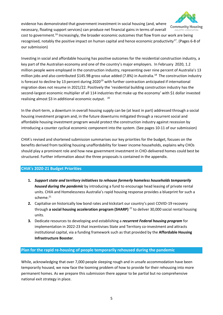

evidence has demonstrated that government investment in social housing (and, where

necessary, floating support services) can produce net financial gains in terms of overall cost to government.<sup>16</sup> Increasingly, the broader economic outcomes that flow from our work are being recognised, notably the positive impact on human capital and hence economic productivity<sup>17</sup>. (Pages 6-8 of our submission)

Investing in social and affordable housing has positive outcomes for the residential construction industry, a key part of the Australian economy and one of the country's major employers. In February 2020, 1.2 million people were employed in the construction industry, representing over nine percent of Australia's 13 million jobs and also contributed \$145.9B gross value added (7.8%) in Australia.<sup>18</sup> The construction industry is forecast to decline by 13 percent during 2020<sup>19</sup> with further contraction anticipated if international migration does not resume in 2021/22. Positively the 'residential building construction industry has the second-largest economic multiplier of all 114 industries that make up the economy' with \$1 dollar invested realising almost \$3 in additional economic output. <sup>20</sup>

In the short-term, a downturn in overall housing supply can be (at least in part) addressed through a social housing investment program and, in the future downturns mitigated through a recurrent social and affordable housing investment program would protect the construction industry against recession by introducing a counter cyclical economic component into the system. (See pages 10-11 of our submission)

CHIA's revised and shortened submission summarises our key priorities for the budget, focuses on the benefits derived from tackling housing unaffordability for lower income households, explains why CHOs should play a prominent role and how new government investment in CHO-delivered homes could best be structured. Further information about the three proposals is contained in the appendix.

# **CHIA's 2020-21 Budget Priorities**

- **1.** *Support state and territory initiatives to rehouse formerly homeless households temporarily housed during the pandemic* by introducing a fund to encourage head leasing of private rental units. CHIA and Homelessness Australia's rapid housing response provides a blueprint for such a scheme.<sup>21</sup>
- **2.** Capitalise on historically low bond rates and kickstart our country's post COVID-19 recovery through **a social housing acceleration program (SHARP)** <sup>22</sup> to deliver 30,000 social rental housing units.
- **3.** Dedicate resources to developing and establishing a *recurrent Federal housing program* for implementation in 2022-23 that incentivises State and Territory co-investment and attracts institutional capital, via a funding framework such as that provided by the **Affordable Housing Infrastructure Booster**.

# **Plan for the rapid re-housing of people temporarily rehoused during the pandemic**

While, acknowledging that over 7,000 people sleeping rough and in unsafe accommodation have been temporarily housed, we now face the looming problem of how to provide for their rehousing into more permanent homes. As we prepare this submission there appear to be partial but no comprehensive national exit strategy in place.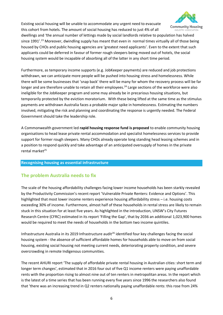Existing social housing will be unable to accommodate any urgent need to evacuate this cohort from hotels. The amount of social housing has reduced to just 4% of all



dwellings and *'*the annual number of lettings made by social landlords relative to population has halved since 1991'.<sup>23</sup> Moreover, dwindling supply has meant that even in normal times virtually all of those being housed by CHOs and public housing agencies are 'greatest need applicants'. Even to the extent that such applicants could be deferred in favour of former rough sleepers being moved out of hotels, the social housing system would be incapable of absorbing all of the latter in any short time period.

Furthermore, as temporary income supports (e.g. JobKeeper payments) are reduced and job protections withdrawn, we can anticipate more people will be pushed into housing stress and homelessness. While there will be some businesses that 'snap back' there will be many for whom the recovery process will be far longer and are therefore unable to retain all their employees.<sup>24</sup> Large sections of the workforce were also ineligible for the JobKeeper program and some may already be in precarious housing situations, but temporarily protected by the eviction moratorium. With these being lifted at the same time as the stimulus payments are withdrawn Australia faces a probable major spike in homelessness. Estimating the numbers involved, mitigating the risk and planning and coordinating the response is urgently needed. The Federal Government should take the leadership role.

A Commonwealth government led **rapid housing response fund is proposed** to enable community housing organisations to head lease private rental accommodation and specialist homelessness services to provide support for former rough sleepers. Many CHOs already operate long standing head leasing schemes and in a position to respond quickly and take advantage of an anticipated oversupply of homes in the private rental market 25

# **Recognising housing as essential infrastructure**

# **The problem Australia needs to fix**

The scale of the housing affordability challenges facing lower income households has been starkly revealed by the Productivity Commission's recent report 'Vulnerable Private Renters: Evidence and Options'. This highlighted that most lower income renters experience housing affordability stress – i.e. housing costs exceeding 30% of income. Furthermore, almost half of these households in rental stress are likely to remain stuck in this situation for at least five years. As highlighted in the introduction, UNSW's City Futures Research Centre (CFRC) estimated in its report 'Filling the Gap', that by 2036 an additional 1,023,900 homes would be required to meet the needs of households in the bottom two income quintiles.

Infrastructure Australia in its 2019 Infrastructure audit<sup>26</sup> identified four key challenges facing the social housing system - the absence of sufficient affordable homes for households able to move on from social housing, existing social housing not meeting current needs, deteriorating property condition, and severe overcrowding in remote Indigenous communities.

The recent AHURI report 'The supply of affordable private rental housing in Australian cities: short term and longer term changes', estimated that in 2016 four out of five Q1 income renters were paying unaffordable rents with the proportion rising to almost nine out of ten renters in metropolitan areas. In the report which is the latest of a time series that has been running every five years since 1996 the researchers also found that 'there was an increasing trend in Q2 renters nationally paying unaffordable rents: this rose from 24%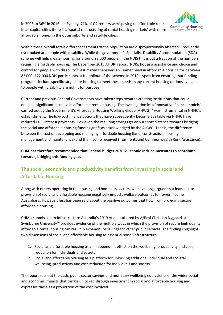

in 2006 to 36% in 2016'. In Sydney, 71% of Q2 renters were paying unaffordable rents. In all capital cities there is a 'spatial restructuring of rental housing markets' with more affordable homes in the outer suburbs and satellite cities.

Within these overall totals different segments of the population are disproportionally affected. Frequently overlooked are people with disability. While the government's Specialist Disability Accommodation (SDA) scheme will help create housing for around 28,000 people in the NDIS this is but a fraction of the numbers requiring affordable housing. The December 2015 AHURI report 'NDIS, housing assistance and choice and control for people with disability<sup>'27</sup> estimated there was an 'unmet need in affordable housing for between 83 000–122 000 NDIS participants at full rollout of the scheme in 2019'. Apart from ensuring that funding programs include specific targets for housing to meet these needs many current housing options available to people with disability are not fit for purpose.

Current and previous Federal Governments have taken steps towards creating institutions that could enable a significant increase in affordable rental housing. The investigation into 'innovative finance models' carried out by the Government's Affordable Housing Working Group (AHWG)<sup>28</sup> was instrumental in NHFIC's establishment. The low-cost finance options that have subsequently become available via NHFIC have reduced CHO interest payments. However, the resulting savings go only a short distance towards bridging the social and affordable housing funding  $\text{gap}^{29}$  as acknowledged by the AHWG. That is, the difference between the cost of developing and managing affordable housing (land, construction, housing management and maintenance) and the income received (from rents and Commonwealth Rent Assistance).

**CHIA has therefore recommended that Federal budget 2020-21 should include measures to contribute towards, bridging this funding gap.**

# **The social, economic and productivity benefits from investing in social and Affordable Housing**

Along with others operating in the housing and homeless sectors, we have long argued that inadequate provision of social and affordable housing negatively impacts welfare outcomes for lower income Australians. However, less has been said about the positive outcomes that flow from providing secure affordable housing.

CHIA's submission to Infrastructure Australia's 2019 Audit authored by A/Prof Christian Nygaard at Swinburne University<sup>30</sup> provides evidence of the multiple ways in which the provision of secure high quality affordable rental housing can result in expenditure savings for other public services. The findings highlight two dimensions of social and affordable housing as essential social infrastructure:

- 1. Social and affordable housing as an independent effect on the wellbeing, productivity and costreduction for individuals and society.
- 2. Social and affordable housing as a platform for unlocking additional individual and societal wellbeing, productivity and cost-reduction for individuals and society.

The report sets out the cash, public sector savings and monetary wellbeing equivalents of the wider social and economic impacts that can be unlocked through investment in social and affordable housing and expresses these as a proportion of the cost involved.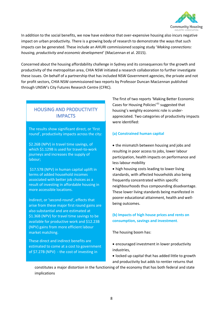

In addition to the social benefits, we now have evidence that over-expensive housing also incurs negative impact on urban productivity. There is a growing body of research to demonstrate the ways that such impacts can be generated. These include an AHURI commissioned scoping study '*Making connections: housing, productivity and economic development*' (MacLennan et al. 2015).

Concerned about the housing affordability challenge in Sydney and its consequences for the growth and productivity of the metropolitan area, CHIA NSW initiated a research collaboration to further investigate these issues. On behalf of a partnership that has included NSW Government agencies, the private and not for profit sectors, CHIA NSW commissioned two reports by Professor Duncan MacLennan published through UNSW's City Futures Research Centre (CFRC).

# HOUSING AND PRODUCTIVITY IMPACTS

The results show significant direct, or 'first round', productivity impacts across the city:

\$2.26B (NPV) in travel time savings, of which \$1.129B is used for travel-to-work journeys and increases the supply of labour;

\$17.57B (NPV) in human capital uplift in terms of added household incomes associated with better job choices as a result of investing in affordable housing in more accessible locations.

Indirect, or 'second-round', effects that arise from these major first round gains are also substantial and are estimated at \$1.36B (NPV) for travel time savings to be available for productive work and \$12.23B (NPV) gains from more efficient labour market matching.

These direct and indirect benefits are estimated to come at a cost to government of \$7.27B (NPV) - the cost of investing in

The first of two reports 'Making Better Economic Cases for Housing Policies'<sup>31</sup> suggested that housing's weighty economic role is underappreciated. Two categories of productivity impacts were identified:

# **(a) Constrained human capital**

• the mismatch between housing and jobs and resulting in poor access to jobs, lower labour participation, health impacts on performance and less labour mobility

• high housing costs leading to lower living standards, with affected households also being frequently concentrated within specific neighbourhoods thus compounding disadvantage. These lower living standards being manifested in poorer educational attainment, health and wellbeing outcomes.

# **(b) Impacts of high house prices and rents on consumption, savings and investment**.

The housing boom has:

- encouraged investment in lower productivity industries,
- locked up capital that has added little to growth and productivity but adds to rentier returns that

constitutes a major distortion in the functioning of the economy that has both federal and state implications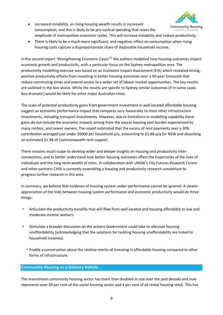- increased instability, as rising housing wealth results in increased **Community Housing** consumption, and this is likely to be pro-cyclical spending that raises the INDUSTRY ASSOCIATION amplitude of metropolitan economic cycles. This will increase instability and reduce productivity.
- There is likely to be a much more significant, and negative, effect on consumption when rising housing costs capture a disproportionate share of disposable household income.

In the second report 'Strengthening Economic Cases'<sup>32</sup> the authors modelled how housing outcomes impact economic growth and productivity, with a particular focus on the Sydney metropolitan area. The productivity modelling exercise was based on an Economic Impact Assessment (EIA) which revealed strong, positive productivity effects from investing in better housing outcomes over a 40-year timescale that reduce commuting times and extend access to a wider set of labour market opportunities. The key results are outlined in the box above. While the results are specific to Sydney similar outcomes (if in some cases less dramatic) would be likely for other major Australian cities.

The scale of potential productivity gains from government investment in well-located affordable housing suggest an economic performance impact that compares very favourably to most other infrastructure investments, including transport investments. However, due to limitations in modelling capability these gains do not include the economic impacts arising from the excess housing cost burden experienced by many renters, and newer owners. The report estimated that the excess of rent payments over a 30% contribution averaged just under \$6000 per household p/a, amounting to \$1.8B p/a for NSW and absorbing an estimated \$1.4B of Commonwealth rent support.

There remains much scope to develop wider and deeper insights on housing and productivity interconnections, and to better understand how better housing outcomes affect the trajectories of the lives of individuals and the long-term wealth of cities. In collaboration with UNSW's City Futures Research Centre and other partners CHIA is currently assembling a housing and productivity research consortium to progress further research in this area.

In summary, we believe that evidence of housing system under-performance cannot be ignored. A clearer appreciation of the links between housing system performance and economic productivity would do three things:

- Articulate the productivity benefits that will flow from well-located and housing affordable to low and moderate income workers
- Stimulate a broader discussion on the actions Government could take to alleviate housing unaffordability (acknowledging that the solutions for tackling housing unaffordability are linked to household incomes).
	- Enable a conversation about the relative merits of investing in affordable housing compared to other forms of infrastructure.

# **Community Housing as a Delivery Vehicle**

The mainstream community housing sector has more than doubled in size over the past decade and now represents over 20 per cent of the social housing sector and 4 per cent of all rental housing stock. This has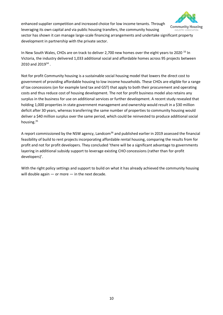

enhanced supplier competition and increased choice for low income tenants. Through leveraging its own capital and via public housing transfers, the community housing

sector has shown it can manage large-scale financing arrangements and undertake significant property development in partnership with the private sector.

In New South Wales, CHOs are on track to deliver 2,700 new homes over the eight years to 2020<sup>33</sup> In Victoria, the industry delivered 1,033 additional social and affordable homes across 95 projects between 2010 and 2019<sup>34</sup>.

Not for profit Community housing is a sustainable social housing model that lowers the direct cost to government of providing affordable housing to low income households. These CHOs are eligible for a range of tax concessions (on for example land tax and GST) that apply to both their procurement and operating costs and thus reduce cost of housing development. The not for profit business model also retains any surplus in the business for use on additional services or further development. A recent study revealed that holding 1,000 properties in state government management and ownership would result in a \$30 million deficit after 30 years, whereas transferring the same number of properties to community housing would deliver a \$40 million surplus over the same period, which could be reinvested to produce additional social housing.<sup>35</sup>

A report commissioned by the NSW agency, Landcom<sup>36</sup> and published earlier in 2019 assessed the financial feasibility of build to rent projects incorporating affordable rental housing, comparing the results from for profit and not for profit developers. They concluded 'there will be a significant advantage to governments layering in additional subsidy support to leverage existing CHO concessions (rather than for-profit developers)'.

With the right policy settings and support to build on what it has already achieved the community housing will double again — or more — in the next decade.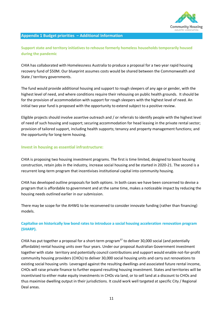

### **Appendix 1 Budget priorities – Additional Information**

# **Support state and territory initiatives to rehouse formerly homeless households temporarily housed during the pandemic**

CHIA has collaborated with Homelessness Australia to produce a proposal for a two year rapid housing recovery fund of \$50M. Our blueprint assumes costs would be shared between the Commonwealth and State / territory governments.

The fund would provide additional housing and support to rough sleepers of any age or gender, with the highest level of need, and where conditions require their rehousing on public health grounds. It should be for the provision of accommodation with support for rough sleepers with the highest level of need. An initial two year fund is proposed with the opportunity to extend subject to a positive review.

Eligible projects should involve assertive outreach and / or referrals to identify people with the highest level of need of such housing and support; securing accommodation for head leasing in the private rental sector; provision of tailored support, including health supports; tenancy and property management functions; and the opportunity for long-term housing.

# **Invest in housing as essential infrastructure:**

CHIA is proposing two housing investment programs. The first is time limited, designed to boost housing construction, retain jobs in the industry, increase social housing and be started in 2020-21. The second is a recurrent long-term program that incentivises institutional capital into community housing.

CHIA has developed outline proposals for both options. In both cases we have been concerned to devise a program that is affordable to government and at the same time, makes a noticeable impact by reducing the housing needs outlined earlier in our submission.

There may be scope for the AHWG to be reconvened to consider innovate funding (rather than financing) models.

# **Capitalise on historically low bond rates to introduce a social housing acceleration renovation program (SHARP).**

CHIA has put together a proposal for a short-term program $37$  to deliver 30,000 social (and potentially affordable) rental housing units over four years. Under our proposal Australian Government investment together with state territory and potentially council contributions and support would enable not-for-profit community housing providers (CHOs) to deliver 30,000 social housing units and carry out renovations to existing social housing units Leveraged against the resulting dwellings and associated future rental income, CHOs will raise private finance to further expand resulting housing investment. States and territories will be incentivised to either make equity investments in CHOs via land, or to sell land at a discount to CHOs and thus maximise dwelling output in their jurisdictions. It could work well targeted at specific City / Regional Deal areas.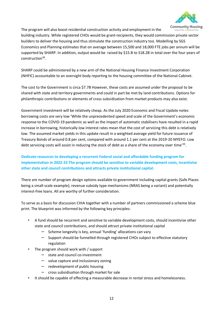

The program will also boost residential construction activity and employment in the

building industry. While registered CHOs would be grant-recipients, they would commission private sector builders to deliver the housing and thus stimulate the construction industry too. Modelling by SGS Economics and Planning estimates that on average between 15,500 and 18,000 FTE jobs per annum will be supported by SHARP. In addition, output would be raised by \$15.B to S18.2B in total over the four years of construction<sup>38</sup>.

SHARP could be administered by a new arm of the National Housing Finance Investment Corporation (NHFIC) accountable to an oversight body reporting to the housing committee of the National Cabinet.

The cost to the Government is circa \$7.7B However, these costs are assumed under the proposal to be shared with state and territory governments and could in part be met by land contributions. Options for philanthropic contributions or elements of cross subsidisation from market products may also exist.

Government investment will be relatively cheap. As the July 2020 Economic and Fiscal Update notes borrowing costs are very low 'While the unprecedented speed and scale of the Government's economic response to the COVID-19 pandemic as well as the impact of automatic stabilisers have resulted in a rapid increase in borrowing, historically low interest rates mean that the cost of servicing this debt is relatively low. The assumed market yields in this update result in a weighted average yield for future issuance of Treasury Bonds of around 0.8 per cent, compared with around 1.1 per cent at the 2019-20 MYEFO. Low debt servicing costs will assist in reducing the stock of debt as a share of the economy over time<sup>'39</sup>.

# **Dedicate resources to developing a recurrent Federal social and affordable funding program for implementation in 2022-23 The program should be sensitive to variable development costs, incentivise other state and council contributions and attracts private institutional capital.**

There are number of program design options available to government including capital grants (Safe Places being a small-scale example); revenue subsidy type mechanisms (NRAS being a variant) and potentially interest-free loans. All are worthy of further consideration.

To serve as a basis for discussion CHIA together with a number of partners commissioned a scheme blue print. The blueprint was informed by the following key principles:

- A fund should be recurrent and sensitive to variable development costs, should incentivise other state and council contributions, and should attract private institutional capital
	- $\blacksquare$  Scheme longevity is key, annual 'funding' allocations can vary
	- Support should be funnelled through registered CHOs subject to effective statutory regulation
- The program should work with / support
	- $-$  state and council co-investment
	- $-$  value capture and inclusionary zoning
	- $-$  redevelopment of public housing
	- cross subsidisation through market for sale
- It should be capable of effecting a measurable decrease in rental stress and homelessness.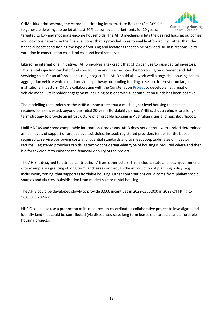CHIA's blueprint scheme, the Affordable Housing Infrastructure Booster (AHIB)<sup>40</sup> aims to generate dwellings to be let at least 20% below local market rents for 20 years,



targeted to low and moderate-income households. The AHIB mechanism lets the desired housing outcomes and locations determine the financial boost that is provided so as to enable affordability, rather than the financial boost conditioning the type of housing and locations that can be provided. AHIB is responsive to variation in construction cost, land cost and local rent levels.

Like some international initiatives, AHIB involves a tax credit that CHOs can use to raise capital investors. This capital injection can help fund construction and thus reduces the borrowing requirement and debt servicing costs for an affordable housing project. The AHIB could also work well alongside a housing capital aggregation vehicle which could provide a pathway for pooling funding to secure interest from larger institutional investors. CHIA is collaborating with the Constellation [Project](https://www.theconstellationproject.com.au/) to develop an aggregation vehicle model. Stakeholder engagement including sessions with superannuation funds has been positive.

The modelling that underpins the AHIB demonstrates that a much higher level housing that can be retained, or re-invested, beyond the initial 20-year affordability period. AHIB is thus a vehicle for a longterm strategy to provide an infrastructure of affordable housing in Australian cities and neighbourhoods.

Unlike NRAS and some comparable international programs, AHIB does not operate with a priori determined annual levels of support or project level subsidies. Instead, registered providers tender for the boost required to service borrowing costs at prudential standards and to meet acceptable rates of investor returns. Registered providers can thus start by considering what type of housing is required where and then bid for tax credits to enhance the financial viability of the project.

The AHIB is designed to attract 'contributions' from other actors. This includes state and local governments - for example via granting of long term land leases or through the introduction of planning policy (e.g. inclusionary zoning) that supports affordable housing. Other contributions could come from philanthropic sources and via cross subsidisation from market sale or rental housing.

The AHIB could be developed slowly to provide 3,000 incentives in 2022-23, 5,000 in 2023-24 lifting to 10,000 in 2024-25

NHFIC could also use a proportion of its resources to co-ordinate a collaborative project to investigate and identify land that could be contributed (via discounted sale, long term leases etc) to social and affordable housing projects.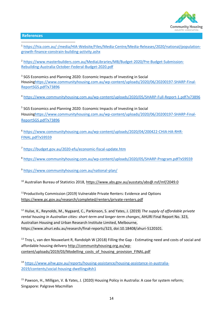

# **References**

<sup>1</sup> [https://hia.com.au/-/media/HIA-Website/Files/Media-Centre/Media-Releases/2020/national/population](https://hia.com.au/-/media/HIA-Website/Files/Media-Centre/Media-Releases/2020/national/population-growth-finance-constrain-building-activity.ashx)[growth-finance-constrain-building-activity.ashx](https://hia.com.au/-/media/HIA-Website/Files/Media-Centre/Media-Releases/2020/national/population-growth-finance-constrain-building-activity.ashx)

<sup>2</sup> [https://www.masterbuilders.com.au/MediaLibraries/MB/Budget-2020/Pre-Budget-Submission-](https://www.masterbuilders.com.au/MediaLibraries/MB/Budget-2020/Pre-Budget-Submission-Rebuilding-Australia-October-Federal-Budget-2020.pdf)[Rebuilding-Australia-October-Federal-Budget-2020.pdf](https://www.masterbuilders.com.au/MediaLibraries/MB/Budget-2020/Pre-Budget-Submission-Rebuilding-Australia-October-Federal-Budget-2020.pdf)

<sup>3</sup> SGS Economics and Planning 2020: Economic Impacts of Investing in Social Housin[ghttps://www.communityhousing.com.au/wp-content/uploads/2020/06/20200197-SHARP-Final-](https://www.communityhousing.com.au/wp-content/uploads/2020/06/20200197-SHARP-Final-ReportSGS.pdf?x73896)[ReportSGS.pdf?x73896](https://www.communityhousing.com.au/wp-content/uploads/2020/06/20200197-SHARP-Final-ReportSGS.pdf?x73896)

<sup>4</sup> <https://www.communityhousing.com.au/wp-content/uploads/2020/05/SHARP-Full-Report-1.pdf?x73896>

<sup>5</sup> SGS Economics and Planning 2020: Economic Impacts of Investing in Social Housin[ghttps://www.communityhousing.com.au/wp-content/uploads/2020/06/20200197-SHARP-Final-](https://www.communityhousing.com.au/wp-content/uploads/2020/06/20200197-SHARP-Final-ReportSGS.pdf?x73896)[ReportSGS.pdf?x73896](https://www.communityhousing.com.au/wp-content/uploads/2020/06/20200197-SHARP-Final-ReportSGS.pdf?x73896)

<sup>6</sup> [https://www.communityhousing.com.au/wp-content/uploads/2020/04/200422-CHIA-HA-RHR-](https://www.communityhousing.com.au/wp-content/uploads/2020/04/200422-CHIA-HA-RHR-FINAL.pdf?x59559)[FINAL.pdf?x59559](https://www.communityhousing.com.au/wp-content/uploads/2020/04/200422-CHIA-HA-RHR-FINAL.pdf?x59559)

<sup>7</sup> <https://budget.gov.au/2020-efu/economic-fiscal-update.htm>

<sup>8</sup> <https://www.communityhousing.com.au/wp-content/uploads/2020/05/SHARP-Program.pdf?x59559>

<sup>9</sup> <https://www.communityhousing.com.au/national-plan/>

<sup>10</sup> Australian Bureau of Statistics 2018,<https://www.abs.gov.au/ausstats/abs@.nsf/mf/2049.0>

<sup>11</sup>Productivity Commission (2019) Vulnerable Private Renters: Evidence and Options <https://www.pc.gov.au/research/completed/renters/private-renters.pdf>

<sup>12</sup> Hulse, K., Reynolds, M., Nygaard, C., Parkinson, S. and Yates, J. (2019) *The supply of affordable private rental housing in Australian cities: short-term and longer-term changes*, AHURI Final Report No. 323, Australian Housing and Urban Research Institute Limited, Melbourne, https://www.ahuri.edu.au/research/final-reports/323, doi:10.18408/ahuri-5120101.

<sup>13</sup> Troy L, van den Nouwelant R, Randolph W (2018) Filling the Gap - Estimating need and costs of social and affordable housing delivery http://communityhousing.org.au/wpcontent/uploads/2019/03/Modelling\_costs\_of\_housing\_provision\_FINAL.pdf

<sup>14</sup> [https://www.aihw.gov.au/reports/housing-assistance/housing-assistance-in-australia-](https://www.aihw.gov.au/reports/housing-assistance/housing-assistance-in-australia-2019/contents/social-housing-dwellings#sh1)[2019/contents/social-housing-dwellings#sh1](https://www.aihw.gov.au/reports/housing-assistance/housing-assistance-in-australia-2019/contents/social-housing-dwellings#sh1)

<sup>15</sup> Pawson, H., Milligan, V. & Yates, J. (2020) Housing Policy in Australia: A case for system reform; Singapore: Palgrave Macmillan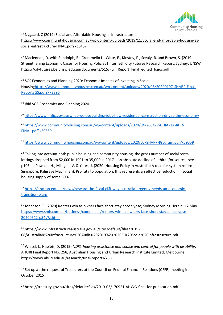

<sup>16</sup> Nygaard, C (2019) Social and Affordable Housing as Infrastructure https://www.communityhousing.com.au/wp-content/uploads/2019/11/Social-and-affordable-housing-associal-infrastructure-FINAL.pdf?x33467

<sup>17</sup> Maclennan, D. with Randolph, B., Crommelin L., Witte, E., Klestov, P., Scealy, B. and Brown, S. (2019) Strengthening Economic Cases for Housing Policies [Internet], City Futures Research Report. Sydney: UNSW [https://cityfutures.be.unsw.edu.au/documents/515/Full\\_Report\\_Final\\_edited\\_logos.pdf](https://cityfutures.be.unsw.edu.au/documents/515/Full_Report_Final_edited_logos.pdf)

<sup>18</sup> SGS Economics and Planning 2020: Economic Impacts of Investing in Social Housin[ghttps://www.communityhousing.com.au/wp-content/uploads/2020/06/20200197-SHARP-Final-](https://www.communityhousing.com.au/wp-content/uploads/2020/06/20200197-SHARP-Final-ReportSGS.pdf?x73896)[ReportSGS.pdf?x73896](https://www.communityhousing.com.au/wp-content/uploads/2020/06/20200197-SHARP-Final-ReportSGS.pdf?x73896)

<sup>19</sup> Ibid SGS Economics and Planning 2020

<sup>20</sup> <https://www.nhfic.gov.au/what-we-do/building-jobs-how-residential-construction-drives-the-economy/>

<sup>21</sup> [https://www.communityhousing.com.au/wp-content/uploads/2020/04/200422-CHIA-HA-RHR-](https://www.communityhousing.com.au/wp-content/uploads/2020/04/200422-CHIA-HA-RHR-FINAL.pdf?x59559)[FINAL.pdf?x59559](https://www.communityhousing.com.au/wp-content/uploads/2020/04/200422-CHIA-HA-RHR-FINAL.pdf?x59559)

<sup>22</sup> <https://www.communityhousing.com.au/wp-content/uploads/2020/05/SHARP-Program.pdf?x59559>

 $23$  Taking into account both public housing and community housing, the gross number of social rental lettings dropped from 52,000 in 1991 to 35,000 in 2017 – an absolute decline of a third (for sources see p106 in: Pawson, H., Milligan, V. & Yates, J. (2020) Housing Policy in Australia: A case for system reform; Singapore: Palgrave Macmillan). Pro rata to population, this represents an effective reduction in social housing supply of some 50%.

<sup>24</sup> [https://grattan.edu.au/news/beware-the-fiscal-cliff-why-australia-urgently-needs-an-economic](https://grattan.edu.au/news/beware-the-fiscal-cliff-why-australia-urgently-needs-an-economic-transition-plan/)[transition-plan/](https://grattan.edu.au/news/beware-the-fiscal-cliff-why-australia-urgently-needs-an-economic-transition-plan/)

 $25$  Johanson, S. (2020) Renters win as owners face short-stay apocalypse; Sydney Morning Herald, 12 May [https://www.smh.com.au/business/companies/renters-win-as-owners-face-short-stay-apocalypse-](https://www.smh.com.au/business/companies/renters-win-as-owners-face-short-stay-apocalypse-20200512-p54s7z.html)[20200512-p54s7z.html](https://www.smh.com.au/business/companies/renters-win-as-owners-face-short-stay-apocalypse-20200512-p54s7z.html)

<sup>26</sup> [https://www.infrastructureaustralia.gov.au/sites/default/files/2019-](https://www.infrastructureaustralia.gov.au/sites/default/files/2019-08/Australian%20Infrastructure%20Audit%202019%20-%206.%20Social%20Infrastructure.pdf) [08/Australian%20Infrastructure%20Audit%202019%20-%206.%20Social%20Infrastructure.pdf](https://www.infrastructureaustralia.gov.au/sites/default/files/2019-08/Australian%20Infrastructure%20Audit%202019%20-%206.%20Social%20Infrastructure.pdf)

<sup>27</sup> Wiesel, I., Habibis, D. (2015) *NDIS, housing assistance and choice and control for people with disability*, AHURI Final Report No. 258, Australian Housing and Urban Research Institute Limited, Melbourne, [https://www.ahuri.edu.au/research/final-reports/258.](https://www.ahuri.edu.au/research/final-reports/258)

<sup>28</sup> Set up at the request of Treasurers at the Council on Federal Financial Relations (CFFR) meeting in October 2015

<sup>29</sup> <https://treasury.gov.au/sites/default/files/2019-03/170921-AHWG-final-for-publication.pdf>